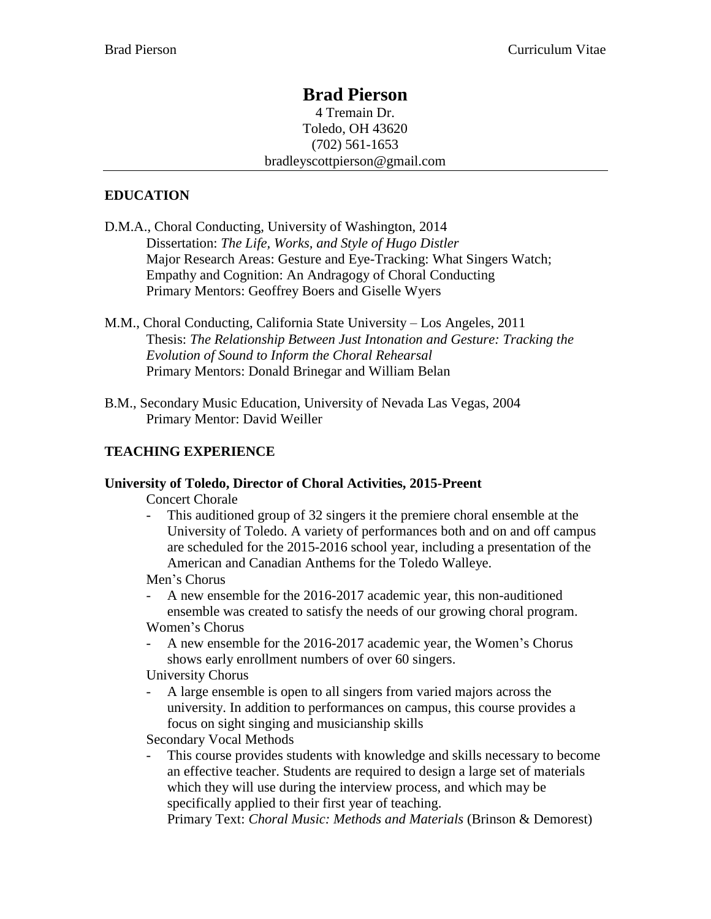# **Brad Pierson**

4 Tremain Dr. Toledo, OH 43620 (702) 561-1653 bradleyscottpierson@gmail.com

# **EDUCATION**

- D.M.A., Choral Conducting, University of Washington, 2014 Dissertation: *The Life, Works, and Style of Hugo Distler* Major Research Areas: Gesture and Eye-Tracking: What Singers Watch; Empathy and Cognition: An Andragogy of Choral Conducting Primary Mentors: Geoffrey Boers and Giselle Wyers
- M.M., Choral Conducting, California State University Los Angeles, 2011 Thesis: *The Relationship Between Just Intonation and Gesture: Tracking the Evolution of Sound to Inform the Choral Rehearsal* Primary Mentors: Donald Brinegar and William Belan
- B.M., Secondary Music Education, University of Nevada Las Vegas, 2004 Primary Mentor: David Weiller

# **TEACHING EXPERIENCE**

# **University of Toledo, Director of Choral Activities, 2015-Preent**

Concert Chorale

This auditioned group of 32 singers it the premiere choral ensemble at the University of Toledo. A variety of performances both and on and off campus are scheduled for the 2015-2016 school year, including a presentation of the American and Canadian Anthems for the Toledo Walleye.

Men's Chorus

A new ensemble for the 2016-2017 academic year, this non-auditioned ensemble was created to satisfy the needs of our growing choral program. Women's Chorus

A new ensemble for the 2016-2017 academic year, the Women's Chorus shows early enrollment numbers of over 60 singers.

University Chorus

- A large ensemble is open to all singers from varied majors across the university. In addition to performances on campus, this course provides a focus on sight singing and musicianship skills

Secondary Vocal Methods

- This course provides students with knowledge and skills necessary to become an effective teacher. Students are required to design a large set of materials which they will use during the interview process, and which may be specifically applied to their first year of teaching.

Primary Text: *Choral Music: Methods and Materials* (Brinson & Demorest)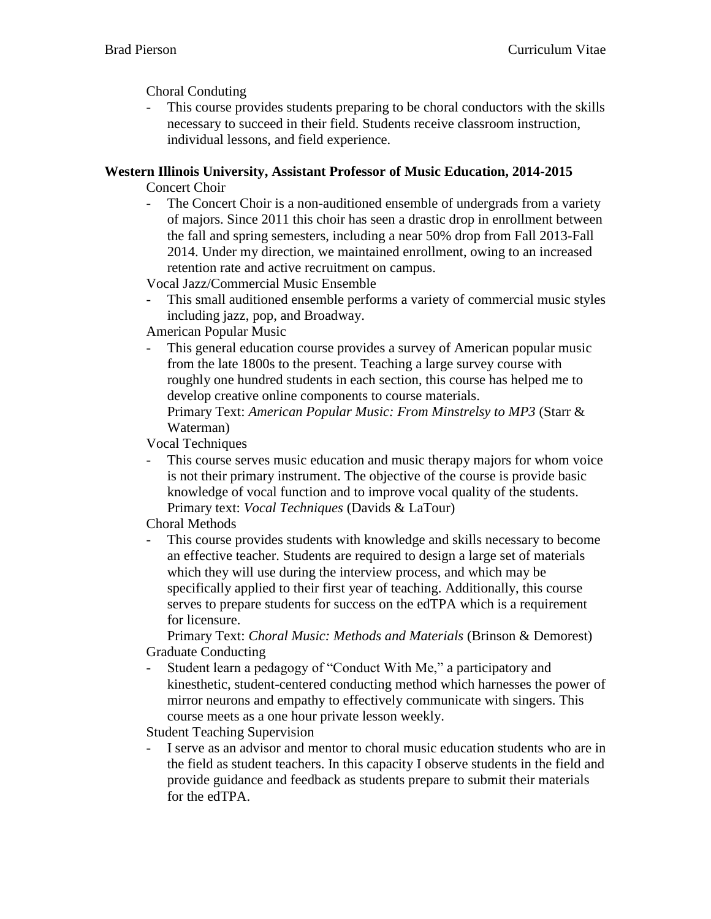Choral Conduting

- This course provides students preparing to be choral conductors with the skills necessary to succeed in their field. Students receive classroom instruction, individual lessons, and field experience.

# **Western Illinois University, Assistant Professor of Music Education, 2014-2015**

Concert Choir

The Concert Choir is a non-auditioned ensemble of undergrads from a variety of majors. Since 2011 this choir has seen a drastic drop in enrollment between the fall and spring semesters, including a near 50% drop from Fall 2013-Fall 2014. Under my direction, we maintained enrollment, owing to an increased retention rate and active recruitment on campus.

Vocal Jazz/Commercial Music Ensemble

This small auditioned ensemble performs a variety of commercial music styles including jazz, pop, and Broadway.

American Popular Music

This general education course provides a survey of American popular music from the late 1800s to the present. Teaching a large survey course with roughly one hundred students in each section, this course has helped me to develop creative online components to course materials. Primary Text: *American Popular Music: From Minstrelsy to MP3* (Starr & Waterman)

Vocal Techniques

This course serves music education and music therapy majors for whom voice is not their primary instrument. The objective of the course is provide basic knowledge of vocal function and to improve vocal quality of the students. Primary text: *Vocal Techniques* (Davids & LaTour)

Choral Methods

- This course provides students with knowledge and skills necessary to become an effective teacher. Students are required to design a large set of materials which they will use during the interview process, and which may be specifically applied to their first year of teaching. Additionally, this course serves to prepare students for success on the edTPA which is a requirement for licensure.

Primary Text: *Choral Music: Methods and Materials* (Brinson & Demorest) Graduate Conducting

- Student learn a pedagogy of "Conduct With Me," a participatory and kinesthetic, student-centered conducting method which harnesses the power of mirror neurons and empathy to effectively communicate with singers. This course meets as a one hour private lesson weekly.

Student Teaching Supervision

I serve as an advisor and mentor to choral music education students who are in the field as student teachers. In this capacity I observe students in the field and provide guidance and feedback as students prepare to submit their materials for the edTPA.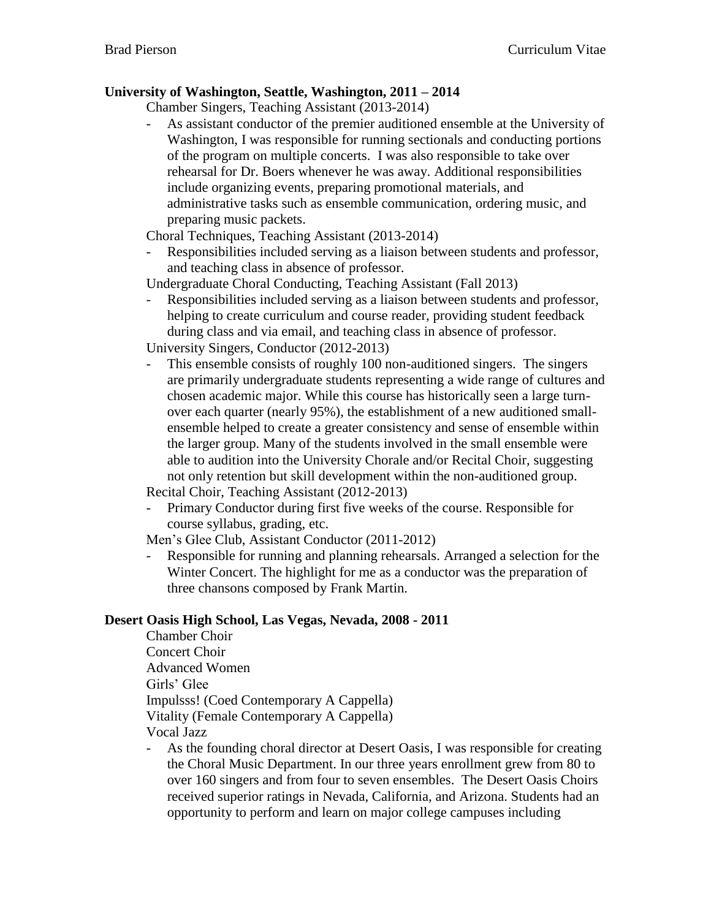# **University of Washington, Seattle, Washington, 2011 – 2014**

Chamber Singers, Teaching Assistant (2013-2014)

As assistant conductor of the premier auditioned ensemble at the University of Washington, I was responsible for running sectionals and conducting portions of the program on multiple concerts. I was also responsible to take over rehearsal for Dr. Boers whenever he was away. Additional responsibilities include organizing events, preparing promotional materials, and administrative tasks such as ensemble communication, ordering music, and preparing music packets.

Choral Techniques, Teaching Assistant (2013-2014)

- Responsibilities included serving as a liaison between students and professor, and teaching class in absence of professor.

Undergraduate Choral Conducting, Teaching Assistant (Fall 2013)

- Responsibilities included serving as a liaison between students and professor, helping to create curriculum and course reader, providing student feedback during class and via email, and teaching class in absence of professor.

University Singers, Conductor (2012-2013)

This ensemble consists of roughly 100 non-auditioned singers. The singers are primarily undergraduate students representing a wide range of cultures and chosen academic major. While this course has historically seen a large turnover each quarter (nearly 95%), the establishment of a new auditioned smallensemble helped to create a greater consistency and sense of ensemble within the larger group. Many of the students involved in the small ensemble were able to audition into the University Chorale and/or Recital Choir, suggesting not only retention but skill development within the non-auditioned group. Recital Choir, Teaching Assistant (2012-2013)

- Primary Conductor during first five weeks of the course. Responsible for

course syllabus, grading, etc.

Men's Glee Club, Assistant Conductor (2011-2012)

- Responsible for running and planning rehearsals. Arranged a selection for the Winter Concert. The highlight for me as a conductor was the preparation of three chansons composed by Frank Martin.

# **Desert Oasis High School, Las Vegas, Nevada, 2008 - 2011**

Chamber Choir Concert Choir Advanced Women Girls' Glee Impulsss! (Coed Contemporary A Cappella) Vitality (Female Contemporary A Cappella) Vocal Jazz

- As the founding choral director at Desert Oasis, I was responsible for creating the Choral Music Department. In our three years enrollment grew from 80 to over 160 singers and from four to seven ensembles. The Desert Oasis Choirs received superior ratings in Nevada, California, and Arizona. Students had an opportunity to perform and learn on major college campuses including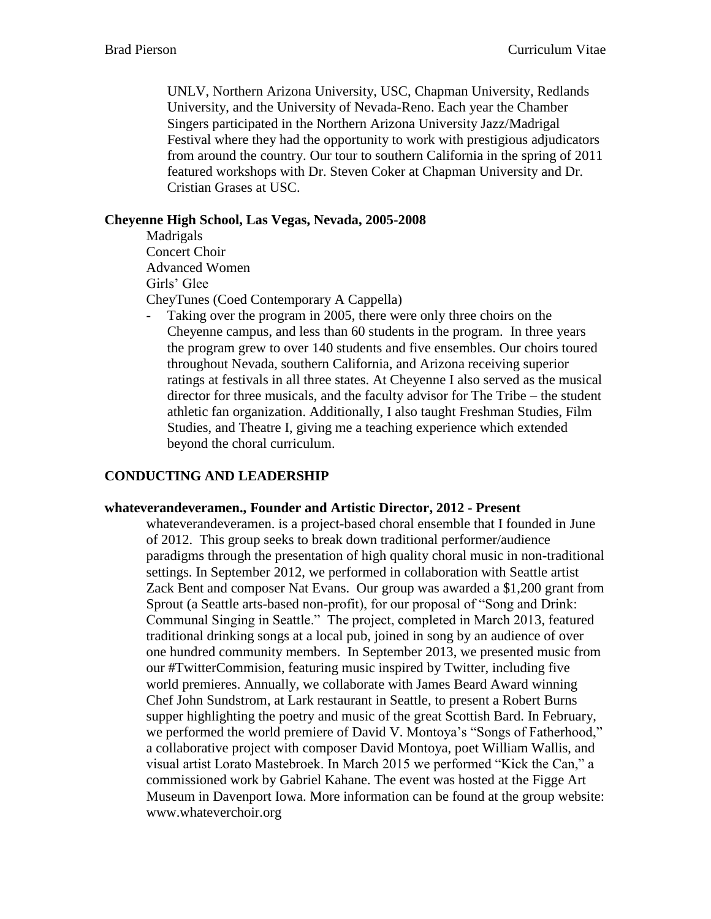UNLV, Northern Arizona University, USC, Chapman University, Redlands University, and the University of Nevada-Reno. Each year the Chamber Singers participated in the Northern Arizona University Jazz/Madrigal Festival where they had the opportunity to work with prestigious adjudicators from around the country. Our tour to southern California in the spring of 2011 featured workshops with Dr. Steven Coker at Chapman University and Dr. Cristian Grases at USC.

### **Cheyenne High School, Las Vegas, Nevada, 2005-2008**

Madrigals Concert Choir Advanced Women Girls' Glee CheyTunes (Coed Contemporary A Cappella)

- Taking over the program in 2005, there were only three choirs on the Cheyenne campus, and less than 60 students in the program. In three years the program grew to over 140 students and five ensembles. Our choirs toured throughout Nevada, southern California, and Arizona receiving superior ratings at festivals in all three states. At Cheyenne I also served as the musical director for three musicals, and the faculty advisor for The Tribe – the student athletic fan organization. Additionally, I also taught Freshman Studies, Film Studies, and Theatre I, giving me a teaching experience which extended beyond the choral curriculum.

# **CONDUCTING AND LEADERSHIP**

#### **whateverandeveramen., Founder and Artistic Director, 2012 - Present**

whateverandeveramen. is a project-based choral ensemble that I founded in June of 2012. This group seeks to break down traditional performer/audience paradigms through the presentation of high quality choral music in non-traditional settings. In September 2012, we performed in collaboration with Seattle artist Zack Bent and composer Nat Evans. Our group was awarded a \$1,200 grant from Sprout (a Seattle arts-based non-profit), for our proposal of "Song and Drink: Communal Singing in Seattle." The project, completed in March 2013, featured traditional drinking songs at a local pub, joined in song by an audience of over one hundred community members. In September 2013, we presented music from our #TwitterCommision, featuring music inspired by Twitter, including five world premieres. Annually, we collaborate with James Beard Award winning Chef John Sundstrom, at Lark restaurant in Seattle, to present a Robert Burns supper highlighting the poetry and music of the great Scottish Bard. In February, we performed the world premiere of David V. Montoya's "Songs of Fatherhood," a collaborative project with composer David Montoya, poet William Wallis, and visual artist Lorato Mastebroek. In March 2015 we performed "Kick the Can," a commissioned work by Gabriel Kahane. The event was hosted at the Figge Art Museum in Davenport Iowa. More information can be found at the group website: www.whateverchoir.org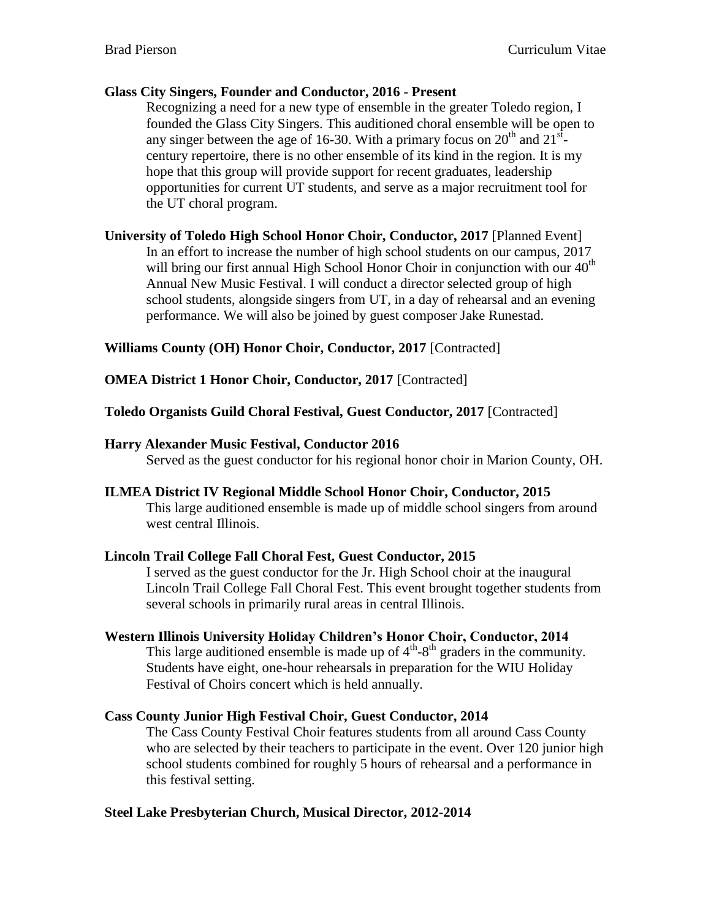### **Glass City Singers, Founder and Conductor, 2016 - Present**

Recognizing a need for a new type of ensemble in the greater Toledo region, I founded the Glass City Singers. This auditioned choral ensemble will be open to any singer between the age of 16-30. With a primary focus on  $20<sup>th</sup>$  and  $21<sup>st</sup>$ . century repertoire, there is no other ensemble of its kind in the region. It is my hope that this group will provide support for recent graduates, leadership opportunities for current UT students, and serve as a major recruitment tool for the UT choral program.

**University of Toledo High School Honor Choir, Conductor, 2017** [Planned Event] In an effort to increase the number of high school students on our campus, 2017 will bring our first annual High School Honor Choir in conjunction with our  $40<sup>th</sup>$ Annual New Music Festival. I will conduct a director selected group of high school students, alongside singers from UT, in a day of rehearsal and an evening performance. We will also be joined by guest composer Jake Runestad.

# **Williams County (OH) Honor Choir, Conductor, 2017** [Contracted]

**OMEA District 1 Honor Choir, Conductor, 2017** [Contracted]

### **Toledo Organists Guild Choral Festival, Guest Conductor, 2017** [Contracted]

### **Harry Alexander Music Festival, Conductor 2016**

Served as the guest conductor for his regional honor choir in Marion County, OH.

#### **ILMEA District IV Regional Middle School Honor Choir, Conductor, 2015**

This large auditioned ensemble is made up of middle school singers from around west central Illinois.

# **Lincoln Trail College Fall Choral Fest, Guest Conductor, 2015**

I served as the guest conductor for the Jr. High School choir at the inaugural Lincoln Trail College Fall Choral Fest. This event brought together students from several schools in primarily rural areas in central Illinois.

# **Western Illinois University Holiday Children's Honor Choir, Conductor, 2014**

This large auditioned ensemble is made up of  $4<sup>th</sup> - 8<sup>th</sup>$  graders in the community. Students have eight, one-hour rehearsals in preparation for the WIU Holiday Festival of Choirs concert which is held annually.

# **Cass County Junior High Festival Choir, Guest Conductor, 2014**

The Cass County Festival Choir features students from all around Cass County who are selected by their teachers to participate in the event. Over 120 junior high school students combined for roughly 5 hours of rehearsal and a performance in this festival setting.

# **Steel Lake Presbyterian Church, Musical Director, 2012-2014**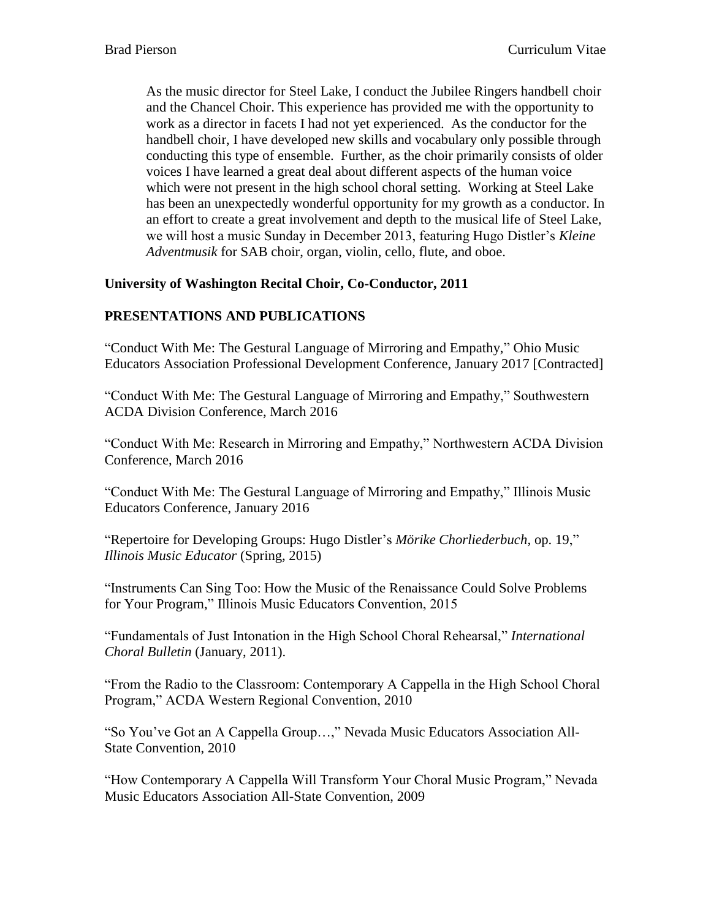As the music director for Steel Lake, I conduct the Jubilee Ringers handbell choir and the Chancel Choir. This experience has provided me with the opportunity to work as a director in facets I had not yet experienced. As the conductor for the handbell choir, I have developed new skills and vocabulary only possible through conducting this type of ensemble. Further, as the choir primarily consists of older voices I have learned a great deal about different aspects of the human voice which were not present in the high school choral setting. Working at Steel Lake has been an unexpectedly wonderful opportunity for my growth as a conductor. In an effort to create a great involvement and depth to the musical life of Steel Lake, we will host a music Sunday in December 2013, featuring Hugo Distler's *Kleine Adventmusik* for SAB choir, organ, violin, cello, flute, and oboe.

# **University of Washington Recital Choir, Co-Conductor, 2011**

# **PRESENTATIONS AND PUBLICATIONS**

"Conduct With Me: The Gestural Language of Mirroring and Empathy," Ohio Music Educators Association Professional Development Conference, January 2017 [Contracted]

"Conduct With Me: The Gestural Language of Mirroring and Empathy," Southwestern ACDA Division Conference, March 2016

"Conduct With Me: Research in Mirroring and Empathy," Northwestern ACDA Division Conference, March 2016

"Conduct With Me: The Gestural Language of Mirroring and Empathy," Illinois Music Educators Conference, January 2016

"Repertoire for Developing Groups: Hugo Distler's *Mörike Chorliederbuch*, op. 19," *Illinois Music Educator* (Spring, 2015)

"Instruments Can Sing Too: How the Music of the Renaissance Could Solve Problems for Your Program," Illinois Music Educators Convention, 2015

"Fundamentals of Just Intonation in the High School Choral Rehearsal," *International Choral Bulletin* (January, 2011).

"From the Radio to the Classroom: Contemporary A Cappella in the High School Choral Program," ACDA Western Regional Convention, 2010

"So You've Got an A Cappella Group…," Nevada Music Educators Association All-State Convention, 2010

"How Contemporary A Cappella Will Transform Your Choral Music Program," Nevada Music Educators Association All-State Convention, 2009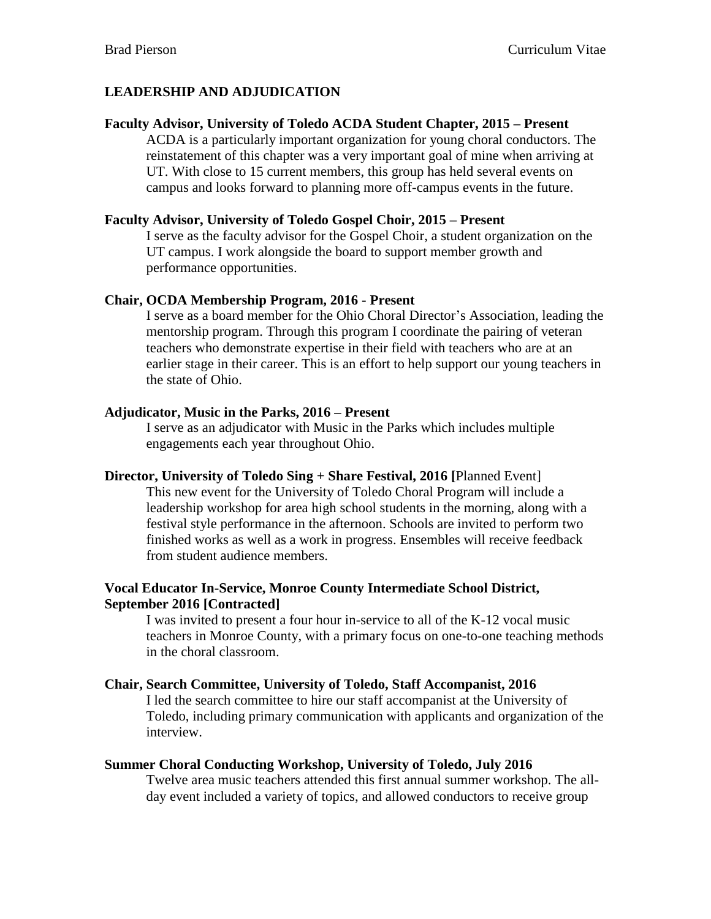# **LEADERSHIP AND ADJUDICATION**

### **Faculty Advisor, University of Toledo ACDA Student Chapter, 2015 – Present**

ACDA is a particularly important organization for young choral conductors. The reinstatement of this chapter was a very important goal of mine when arriving at UT. With close to 15 current members, this group has held several events on campus and looks forward to planning more off-campus events in the future.

### **Faculty Advisor, University of Toledo Gospel Choir, 2015 – Present**

I serve as the faculty advisor for the Gospel Choir, a student organization on the UT campus. I work alongside the board to support member growth and performance opportunities.

### **Chair, OCDA Membership Program, 2016 - Present**

I serve as a board member for the Ohio Choral Director's Association, leading the mentorship program. Through this program I coordinate the pairing of veteran teachers who demonstrate expertise in their field with teachers who are at an earlier stage in their career. This is an effort to help support our young teachers in the state of Ohio.

### **Adjudicator, Music in the Parks, 2016 – Present**

I serve as an adjudicator with Music in the Parks which includes multiple engagements each year throughout Ohio.

**Director, University of Toledo Sing + Share Festival, 2016 [**Planned Event] This new event for the University of Toledo Choral Program will include a leadership workshop for area high school students in the morning, along with a

festival style performance in the afternoon. Schools are invited to perform two finished works as well as a work in progress. Ensembles will receive feedback from student audience members.

# **Vocal Educator In-Service, Monroe County Intermediate School District, September 2016 [Contracted]**

I was invited to present a four hour in-service to all of the K-12 vocal music teachers in Monroe County, with a primary focus on one-to-one teaching methods in the choral classroom.

# **Chair, Search Committee, University of Toledo, Staff Accompanist, 2016**

I led the search committee to hire our staff accompanist at the University of Toledo, including primary communication with applicants and organization of the interview.

# **Summer Choral Conducting Workshop, University of Toledo, July 2016**

Twelve area music teachers attended this first annual summer workshop. The allday event included a variety of topics, and allowed conductors to receive group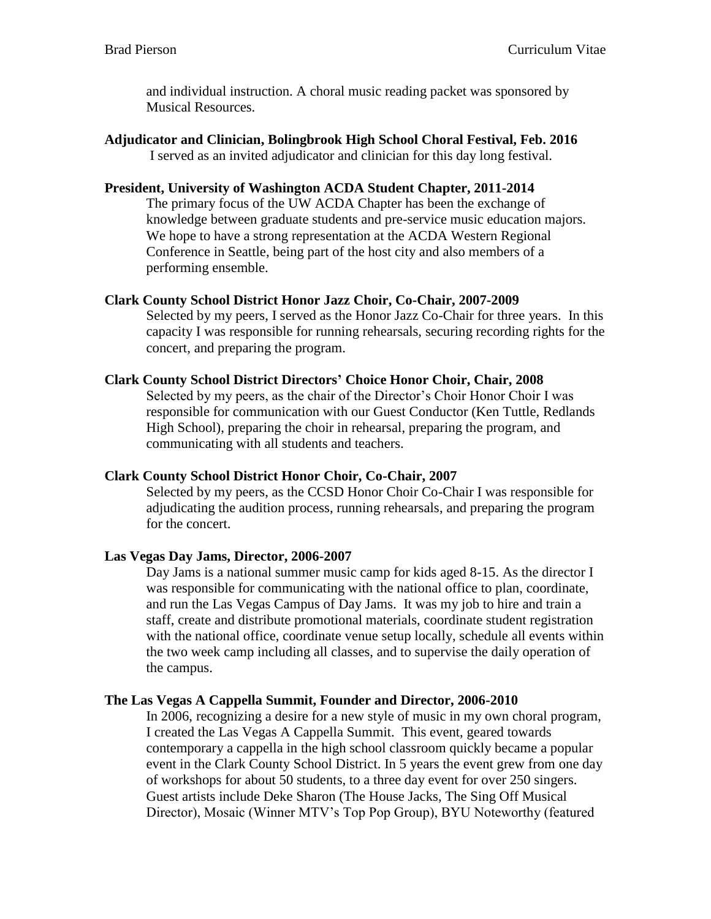and individual instruction. A choral music reading packet was sponsored by Musical Resources.

**Adjudicator and Clinician, Bolingbrook High School Choral Festival, Feb. 2016** I served as an invited adjudicator and clinician for this day long festival.

### **President, University of Washington ACDA Student Chapter, 2011-2014**

The primary focus of the UW ACDA Chapter has been the exchange of knowledge between graduate students and pre-service music education majors. We hope to have a strong representation at the ACDA Western Regional Conference in Seattle, being part of the host city and also members of a performing ensemble.

### **Clark County School District Honor Jazz Choir, Co-Chair, 2007-2009**

Selected by my peers, I served as the Honor Jazz Co-Chair for three years. In this capacity I was responsible for running rehearsals, securing recording rights for the concert, and preparing the program.

#### **Clark County School District Directors' Choice Honor Choir, Chair, 2008**

Selected by my peers, as the chair of the Director's Choir Honor Choir I was responsible for communication with our Guest Conductor (Ken Tuttle, Redlands High School), preparing the choir in rehearsal, preparing the program, and communicating with all students and teachers.

#### **Clark County School District Honor Choir, Co-Chair, 2007**

Selected by my peers, as the CCSD Honor Choir Co-Chair I was responsible for adjudicating the audition process, running rehearsals, and preparing the program for the concert.

# **Las Vegas Day Jams, Director, 2006-2007**

Day Jams is a national summer music camp for kids aged 8-15. As the director I was responsible for communicating with the national office to plan, coordinate, and run the Las Vegas Campus of Day Jams. It was my job to hire and train a staff, create and distribute promotional materials, coordinate student registration with the national office, coordinate venue setup locally, schedule all events within the two week camp including all classes, and to supervise the daily operation of the campus.

#### **The Las Vegas A Cappella Summit, Founder and Director, 2006-2010**

In 2006, recognizing a desire for a new style of music in my own choral program, I created the Las Vegas A Cappella Summit. This event, geared towards contemporary a cappella in the high school classroom quickly became a popular event in the Clark County School District. In 5 years the event grew from one day of workshops for about 50 students, to a three day event for over 250 singers. Guest artists include Deke Sharon (The House Jacks, The Sing Off Musical Director), Mosaic (Winner MTV's Top Pop Group), BYU Noteworthy (featured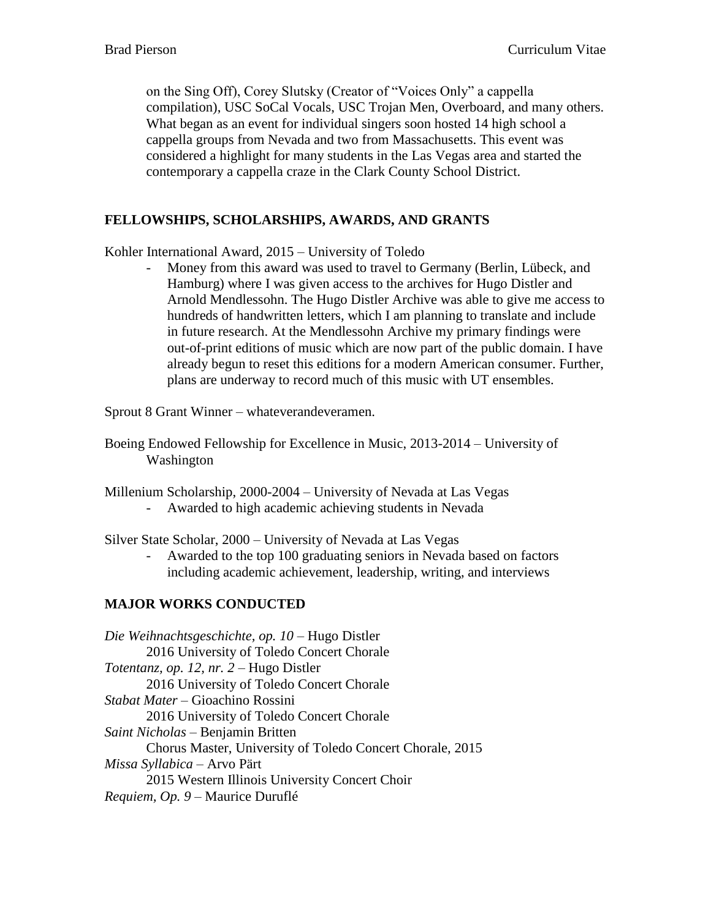on the Sing Off), Corey Slutsky (Creator of "Voices Only" a cappella compilation), USC SoCal Vocals, USC Trojan Men, Overboard, and many others. What began as an event for individual singers soon hosted 14 high school a cappella groups from Nevada and two from Massachusetts. This event was considered a highlight for many students in the Las Vegas area and started the contemporary a cappella craze in the Clark County School District.

# **FELLOWSHIPS, SCHOLARSHIPS, AWARDS, AND GRANTS**

Kohler International Award, 2015 – University of Toledo

Money from this award was used to travel to Germany (Berlin, Lübeck, and Hamburg) where I was given access to the archives for Hugo Distler and Arnold Mendlessohn. The Hugo Distler Archive was able to give me access to hundreds of handwritten letters, which I am planning to translate and include in future research. At the Mendlessohn Archive my primary findings were out-of-print editions of music which are now part of the public domain. I have already begun to reset this editions for a modern American consumer. Further, plans are underway to record much of this music with UT ensembles.

Sprout 8 Grant Winner – whateverandeveramen.

Boeing Endowed Fellowship for Excellence in Music, 2013-2014 – University of Washington

Millenium Scholarship, 2000-2004 – University of Nevada at Las Vegas - Awarded to high academic achieving students in Nevada

Silver State Scholar, 2000 – University of Nevada at Las Vegas

- Awarded to the top 100 graduating seniors in Nevada based on factors including academic achievement, leadership, writing, and interviews

# **MAJOR WORKS CONDUCTED**

*Die Weihnachtsgeschichte, op. 10* – Hugo Distler 2016 University of Toledo Concert Chorale *Totentanz, op. 12, nr. 2 –* Hugo Distler 2016 University of Toledo Concert Chorale *Stabat Mater* – Gioachino Rossini 2016 University of Toledo Concert Chorale *Saint Nicholas* – Benjamin Britten Chorus Master, University of Toledo Concert Chorale, 2015 *Missa Syllabica* – Arvo Pärt 2015 Western Illinois University Concert Choir *Requiem, Op. 9* – Maurice Duruflé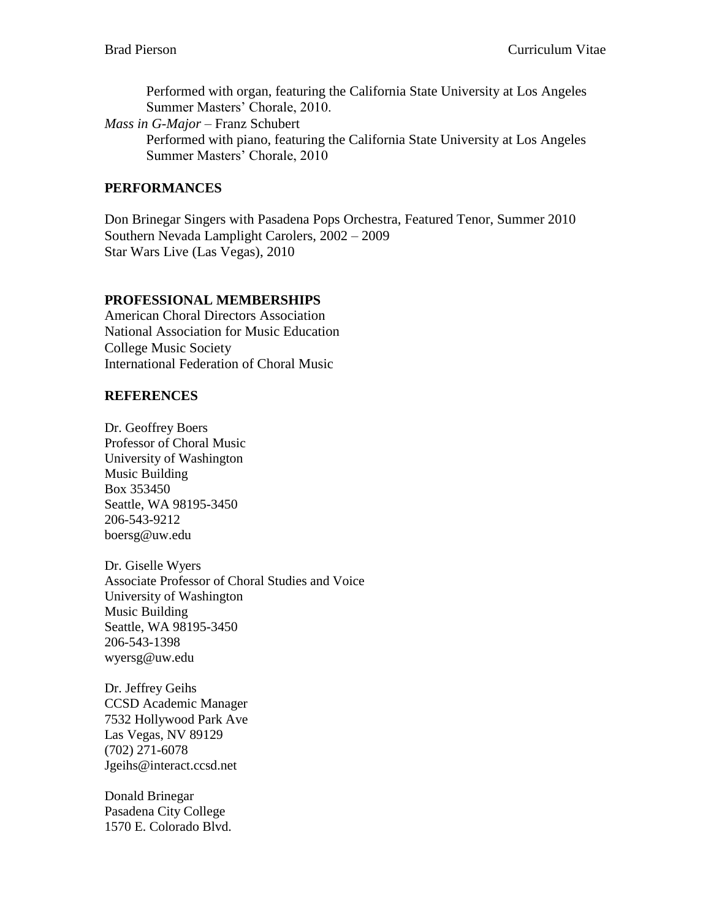Performed with organ, featuring the California State University at Los Angeles Summer Masters' Chorale, 2010.

*Mass in G-Major* – Franz Schubert Performed with piano, featuring the California State University at Los Angeles Summer Masters' Chorale, 2010

### **PERFORMANCES**

Don Brinegar Singers with Pasadena Pops Orchestra, Featured Tenor, Summer 2010 Southern Nevada Lamplight Carolers, 2002 – 2009 Star Wars Live (Las Vegas), 2010

# **PROFESSIONAL MEMBERSHIPS**

American Choral Directors Association National Association for Music Education College Music Society International Federation of Choral Music

### **REFERENCES**

Dr. Geoffrey Boers Professor of Choral Music University of Washington Music Building Box 353450 Seattle, WA 98195-3450 206-543-9212 boersg@uw.edu

Dr. Giselle Wyers Associate Professor of Choral Studies and Voice University of Washington Music Building Seattle, WA 98195-3450 206-543-1398 wyersg@uw.edu

Dr. Jeffrey Geihs CCSD Academic Manager 7532 Hollywood Park Ave Las Vegas, NV 89129 (702) 271-6078 Jgeihs@interact.ccsd.net

Donald Brinegar Pasadena City College 1570 E. Colorado Blvd.